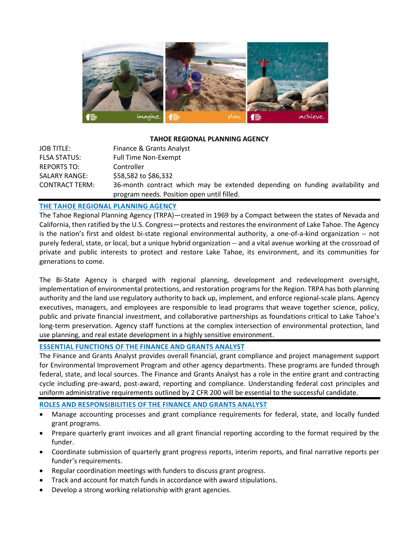

#### **TAHOE REGIONAL PLANNING AGENCY**

| <b>JOB TITLE:</b>     | Finance & Grants Analyst                                                                                                    |
|-----------------------|-----------------------------------------------------------------------------------------------------------------------------|
| <b>FLSA STATUS:</b>   | Full Time Non-Exempt                                                                                                        |
| REPORTS TO:           | Controller                                                                                                                  |
| <b>SALARY RANGE:</b>  | \$58,582 to \$86,332                                                                                                        |
| <b>CONTRACT TERM:</b> | 36-month contract which may be extended depending on funding availability and<br>program needs. Position open until filled. |

## **THE TAHOE REGIONAL PLANNING AGENCY**

The Tahoe Regional Planning Agency (TRPA)—created in 1969 by a Compact between the states of Nevada and California, then ratified by the U.S. Congress—protects and restores the environment of Lake Tahoe. The Agency is the nation's first and oldest bi-state regional environmental authority, a one-of-a-kind organization -- not purely federal, state, or local, but a unique hybrid organization -- and a vital avenue working at the crossroad of private and public interests to protect and restore Lake Tahoe, its environment, and its communities for generations to come.

The Bi-State Agency is charged with regional planning, development and redevelopment oversight, implementation of environmental protections, and restoration programs for the Region. TRPA has both planning authority and the land use regulatory authority to back up, implement, and enforce regional-scale plans. Agency executives, managers, and employees are responsible to lead programs that weave together science, policy, public and private financial investment, and collaborative partnerships as foundations critical to Lake Tahoe's long-term preservation. Agency staff functions at the complex intersection of environmental protection, land use planning, and real estate development in a highly sensitive environment.

### **ESSENTIAL FUNCTIONS OF THE FINANCE AND GRANTS ANALYST**

The Finance and Grants Analyst provides overall financial, grant compliance and project management support for Environmental Improvement Program and other agency departments. These programs are funded through federal, state, and local sources. The Finance and Grants Analyst has a role in the entire grant and contracting cycle including pre-award, post-award, reporting and compliance. Understanding federal cost principles and uniform administrative requirements outlined by 2 CFR 200 will be essential to the successful candidate.

**ROLES AND RESPONSIBILITIES OF THE FINANCE AND GRANTS ANALYST**

- Manage accounting processes and grant compliance requirements for federal, state, and locally funded grant programs.
- Prepare quarterly grant invoices and all grant financial reporting according to the format required by the funder.
- Coordinate submission of quarterly grant progress reports, interim reports, and final narrative reports per funder's requirements.
- Regular coordination meetings with funders to discuss grant progress.
- Track and account for match funds in accordance with award stipulations.
- Develop a strong working relationship with grant agencies.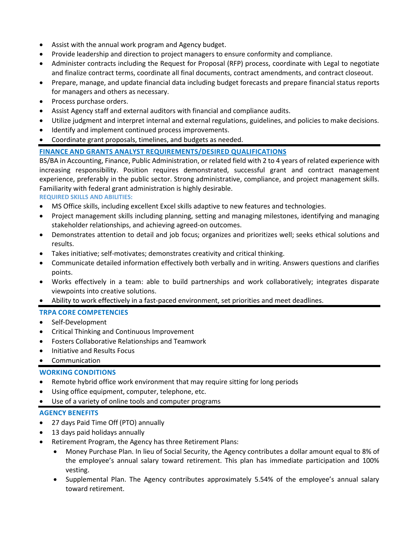- Assist with the annual work program and Agency budget.
- Provide leadership and direction to project managers to ensure conformity and compliance.
- Administer contracts including the Request for Proposal (RFP) process, coordinate with Legal to negotiate and finalize contract terms, coordinate all final documents, contract amendments, and contract closeout.
- Prepare, manage, and update financial data including budget forecasts and prepare financial status reports for managers and others as necessary.
- Process purchase orders.
- Assist Agency staff and external auditors with financial and compliance audits.
- Utilize judgment and interpret internal and external regulations, guidelines, and policies to make decisions.
- Identify and implement continued process improvements.
- Coordinate grant proposals, timelines, and budgets as needed.

## **FINANCE AND GRANTS ANALYST REQUIREMENTS/DESIRED QUALIFICATIONS**

BS/BA in Accounting, Finance, Public Administration, or related field with 2 to 4 years of related experience with increasing responsibility. Position requires demonstrated, successful grant and contract management experience, preferably in the public sector. Strong administrative, compliance, and project management skills. Familiarity with federal grant administration is highly desirable.

**REQUIRED SKILLS AND ABILITIES:** 

- MS Office skills, including excellent Excel skills adaptive to new features and technologies.
- Project management skills including planning, setting and managing milestones, identifying and managing stakeholder relationships, and achieving agreed-on outcomes.
- Demonstrates attention to detail and job focus; organizes and prioritizes well; seeks ethical solutions and results.
- Takes initiative; self-motivates; demonstrates creativity and critical thinking.
- Communicate detailed information effectively both verbally and in writing. Answers questions and clarifies points.
- Works effectively in a team: able to build partnerships and work collaboratively; integrates disparate viewpoints into creative solutions.
- Ability to work effectively in a fast-paced environment, set priorities and meet deadlines.

#### **TRPA CORE COMPETENCIES**

- Self-Development
- Critical Thinking and Continuous Improvement
- Fosters Collaborative Relationships and Teamwork
- Initiative and Results Focus
- Communication

# **WORKING CONDITIONS**

- Remote hybrid office work environment that may require sitting for long periods
- Using office equipment, computer, telephone, etc.
- Use of a variety of online tools and computer programs

#### **AGENCY BENEFITS**

- 27 days Paid Time Off (PTO) annually
- 13 days paid holidays annually
- Retirement Program, the Agency has three Retirement Plans:
	- Money Purchase Plan. In lieu of Social Security, the Agency contributes a dollar amount equal to 8% of the employee's annual salary toward retirement. This plan has immediate participation and 100% vesting.
	- Supplemental Plan. The Agency contributes approximately 5.54% of the employee's annual salary toward retirement.